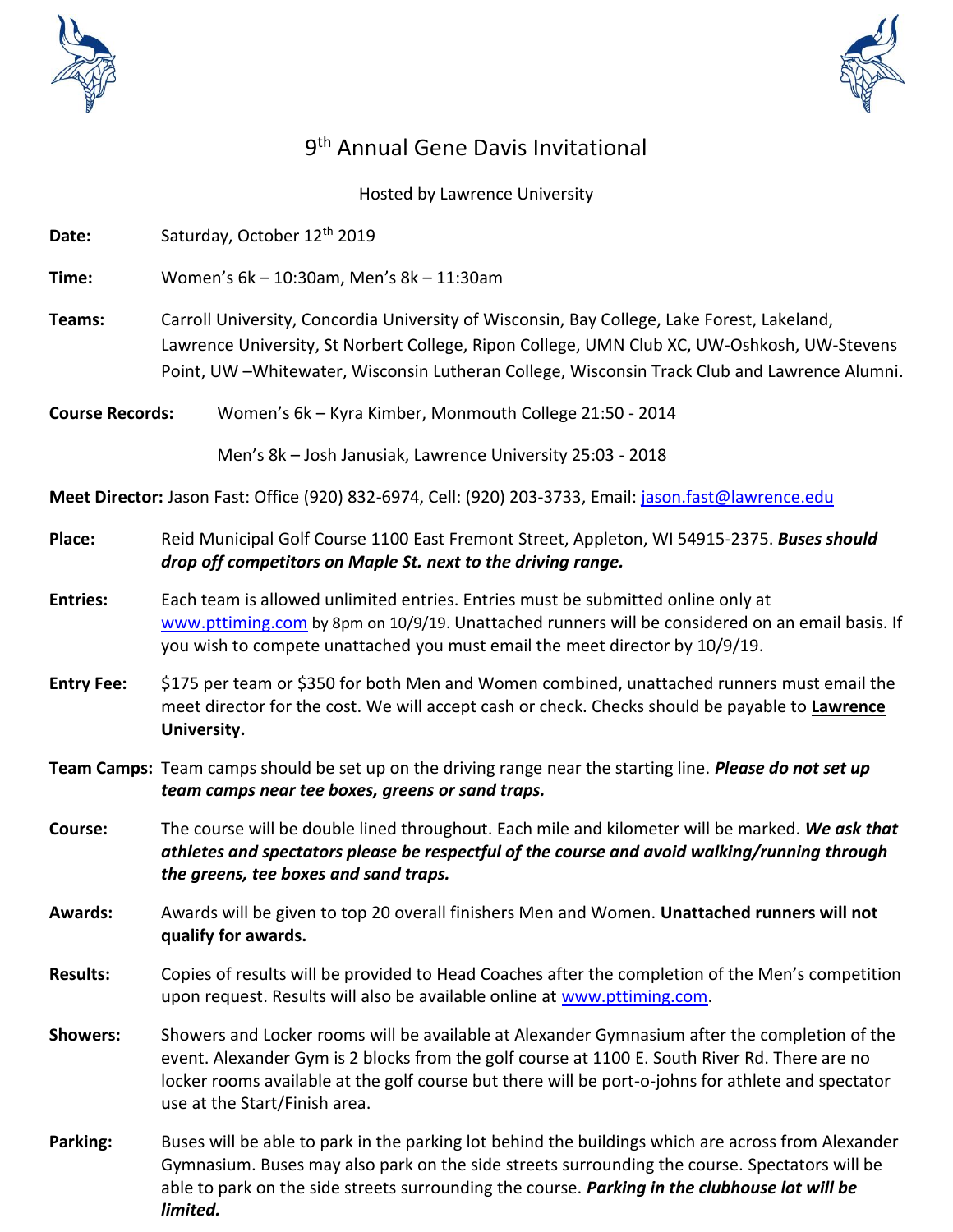



## 9<sup>th</sup> Annual Gene Davis Invitational

Hosted by Lawrence University

Date: Saturday, October 12<sup>th</sup> 2019

**Time:** Women's 6k – 10:30am, Men's 8k – 11:30am

- **Teams:** Carroll University, Concordia University of Wisconsin, Bay College, Lake Forest, Lakeland, Lawrence University, St Norbert College, Ripon College, UMN Club XC, UW-Oshkosh, UW-Stevens Point, UW –Whitewater, Wisconsin Lutheran College, Wisconsin Track Club and Lawrence Alumni.
- **Course Records:** Women's 6k Kyra Kimber, Monmouth College 21:50 2014

Men's 8k – Josh Janusiak, Lawrence University 25:03 - 2018

**Meet Director:** Jason Fast: Office (920) 832-6974, Cell: (920) 203-3733, Email: [jason.fast@lawrence.edu](mailto:jason.fast@lawrence.edu)

- **Place:** Reid Municipal Golf Course 1100 East Fremont Street, Appleton, WI 54915-2375. *Buses should drop off competitors on Maple St. next to the driving range.*
- **Entries:** Each team is allowed unlimited entries. Entries must be submitted online only at [www.pttiming.com](http://www.pttiming.com/) by 8pm on 10/9/19. Unattached runners will be considered on an email basis. If you wish to compete unattached you must email the meet director by 10/9/19.
- **Entry Fee:** \$175 per team or \$350 for both Men and Women combined, unattached runners must email the meet director for the cost. We will accept cash or check. Checks should be payable to **Lawrence University.**
- **Team Camps:** Team camps should be set up on the driving range near the starting line. *Please do not set up team camps near tee boxes, greens or sand traps.*
- **Course:** The course will be double lined throughout. Each mile and kilometer will be marked. *We ask that athletes and spectators please be respectful of the course and avoid walking/running through the greens, tee boxes and sand traps.*
- **Awards:** Awards will be given to top 20 overall finishers Men and Women. **Unattached runners will not qualify for awards.**
- **Results:** Copies of results will be provided to Head Coaches after the completion of the Men's competition upon request. Results will also be available online at [www.pttiming.com.](http://www.pttiming.com/)
- **Showers:** Showers and Locker rooms will be available at Alexander Gymnasium after the completion of the event. Alexander Gym is 2 blocks from the golf course at 1100 E. South River Rd. There are no locker rooms available at the golf course but there will be port-o-johns for athlete and spectator use at the Start/Finish area.
- **Parking:** Buses will be able to park in the parking lot behind the buildings which are across from Alexander Gymnasium. Buses may also park on the side streets surrounding the course. Spectators will be able to park on the side streets surrounding the course. *Parking in the clubhouse lot will be limited.*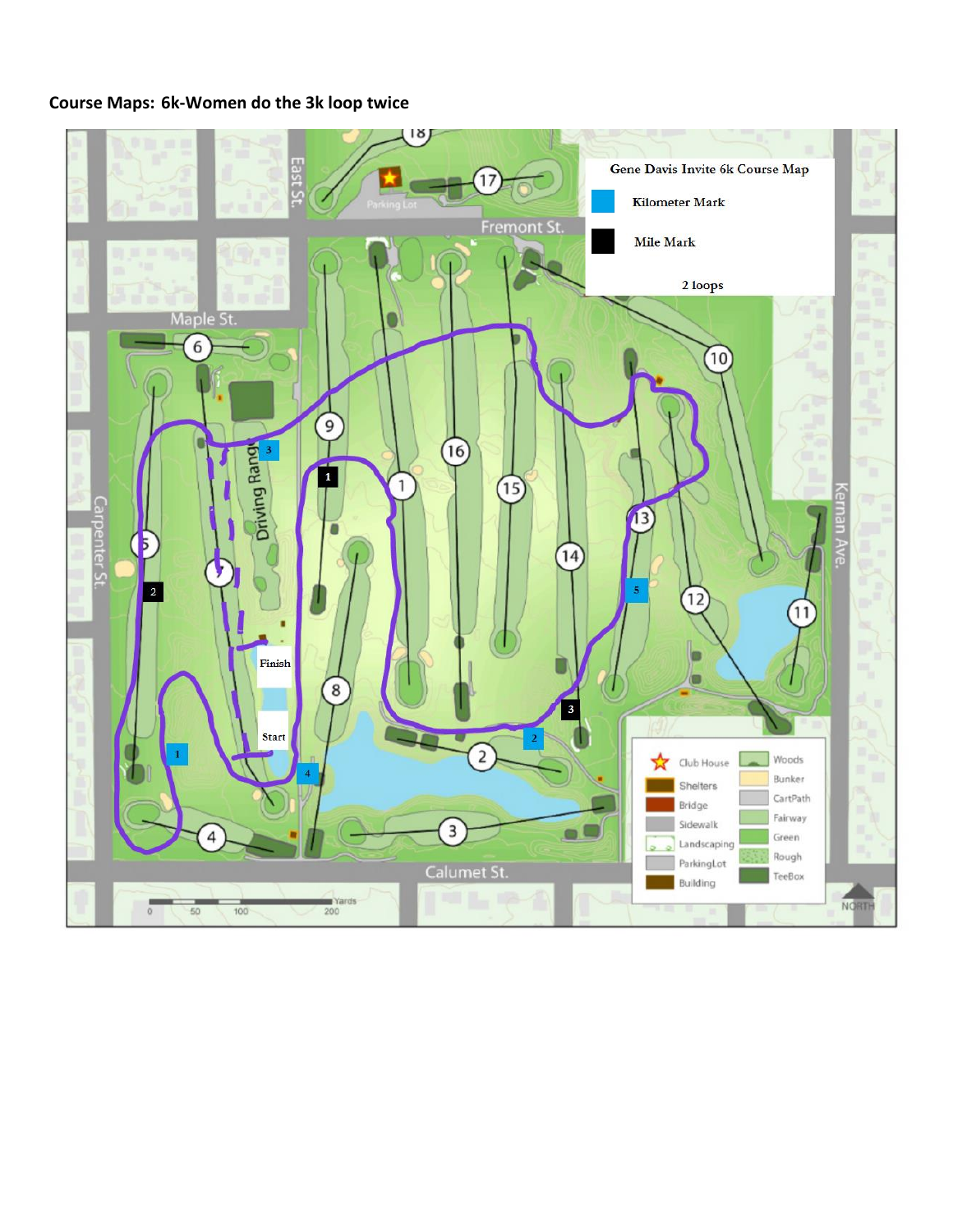## **Course Maps: 6k-Women do the 3k loop twice**